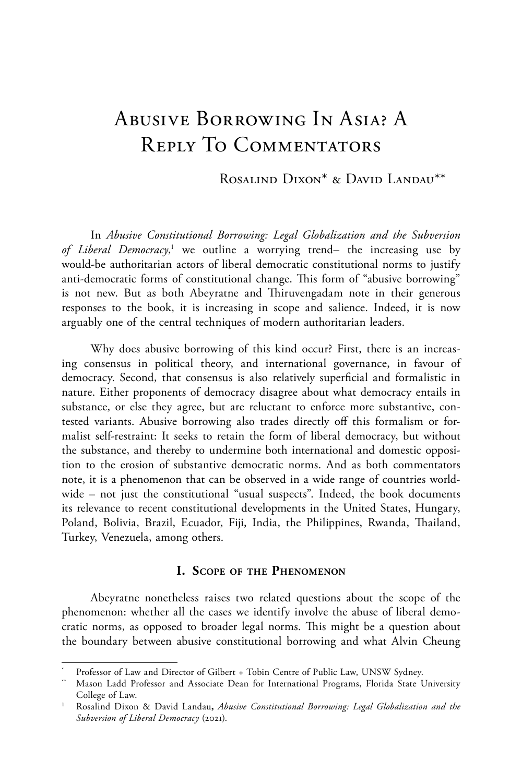## Abusive Borrowing In Asia? A Reply To Commentators

Rosalind Dixon\* & David Landau\*\*

In *Abusive Constitutional Borrowing: Legal Globalization and the Subversion*  of Liberal Democracy,<sup>1</sup> we outline a worrying trend– the increasing use by would-be authoritarian actors of liberal democratic constitutional norms to justify anti-democratic forms of constitutional change. This form of "abusive borrowing" is not new. But as both Abeyratne and Thiruvengadam note in their generous responses to the book, it is increasing in scope and salience. Indeed, it is now arguably one of the central techniques of modern authoritarian leaders.

Why does abusive borrowing of this kind occur? First, there is an increasing consensus in political theory, and international governance, in favour of democracy. Second, that consensus is also relatively superficial and formalistic in nature. Either proponents of democracy disagree about what democracy entails in substance, or else they agree, but are reluctant to enforce more substantive, contested variants. Abusive borrowing also trades directly off this formalism or formalist self-restraint: It seeks to retain the form of liberal democracy, but without the substance, and thereby to undermine both international and domestic opposition to the erosion of substantive democratic norms. And as both commentators note, it is a phenomenon that can be observed in a wide range of countries worldwide – not just the constitutional "usual suspects". Indeed, the book documents its relevance to recent constitutional developments in the United States, Hungary, Poland, Bolivia, Brazil, Ecuador, Fiji, India, the Philippines, Rwanda, Thailand, Turkey, Venezuela, among others.

## **I. Scope of the Phenomenon**

Abeyratne nonetheless raises two related questions about the scope of the phenomenon: whether all the cases we identify involve the abuse of liberal democratic norms, as opposed to broader legal norms. This might be a question about the boundary between abusive constitutional borrowing and what Alvin Cheung

Professor of Law and Director of Gilbert + Tobin Centre of Public Law, UNSW Sydney.

<sup>\*\*</sup> Mason Ladd Professor and Associate Dean for International Programs, Florida State University College of Law.

<sup>1</sup> Rosalind Dixon & David Landau**,** *Abusive Constitutional Borrowing: Legal Globalization and the Subversion of Liberal Democracy* (2021).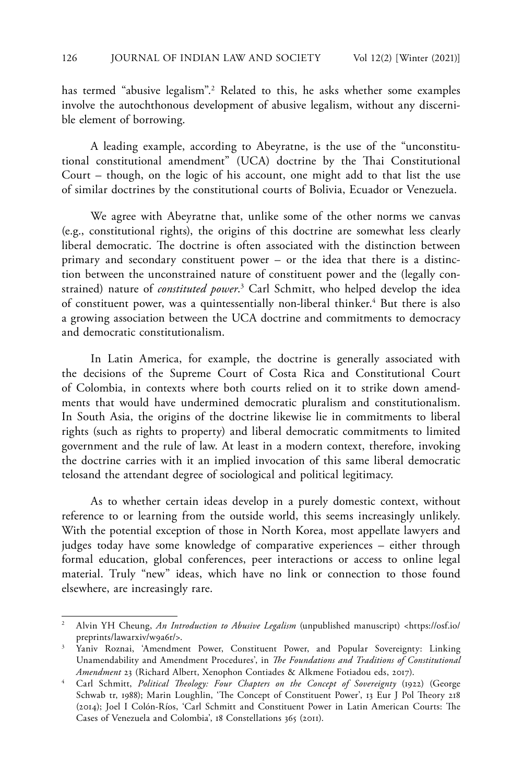has termed "abusive legalism".2 Related to this, he asks whether some examples involve the autochthonous development of abusive legalism, without any discernible element of borrowing.

A leading example, according to Abeyratne, is the use of the "unconstitutional constitutional amendment" (UCA) doctrine by the Thai Constitutional Court – though, on the logic of his account, one might add to that list the use of similar doctrines by the constitutional courts of Bolivia, Ecuador or Venezuela.

We agree with Abeyratne that, unlike some of the other norms we canvas (e.g., constitutional rights), the origins of this doctrine are somewhat less clearly liberal democratic. The doctrine is often associated with the distinction between primary and secondary constituent power – or the idea that there is a distinction between the unconstrained nature of constituent power and the (legally constrained) nature of *constituted power*. 3 Carl Schmitt, who helped develop the idea of constituent power, was a quintessentially non-liberal thinker.<sup>4</sup> But there is also a growing association between the UCA doctrine and commitments to democracy and democratic constitutionalism.

In Latin America, for example, the doctrine is generally associated with the decisions of the Supreme Court of Costa Rica and Constitutional Court of Colombia, in contexts where both courts relied on it to strike down amendments that would have undermined democratic pluralism and constitutionalism. In South Asia, the origins of the doctrine likewise lie in commitments to liberal rights (such as rights to property) and liberal democratic commitments to limited government and the rule of law. At least in a modern context, therefore, invoking the doctrine carries with it an implied invocation of this same liberal democratic telosand the attendant degree of sociological and political legitimacy.

As to whether certain ideas develop in a purely domestic context, without reference to or learning from the outside world, this seems increasingly unlikely. With the potential exception of those in North Korea, most appellate lawyers and judges today have some knowledge of comparative experiences – either through formal education, global conferences, peer interactions or access to online legal material. Truly "new" ideas, which have no link or connection to those found elsewhere, are increasingly rare.

<sup>2</sup> Alvin YH Cheung, *An Introduction to Abusive Legalism* (unpublished manuscript) <https://osf.io/ preprints/lawarxiv/w9a6r/>.

<sup>3</sup> Yaniv Roznai, 'Amendment Power, Constituent Power, and Popular Sovereignty: Linking Unamendability and Amendment Procedures', in *The Foundations and Traditions of Constitutional Amendment* 23 (Richard Albert, Xenophon Contiades & Alkmene Fotiadou eds, 2017).

<sup>&</sup>lt;sup>4</sup> Carl Schmitt, *Political Theology: Four Chapters on the Concept of Sovereignty* (1922) (George Schwab tr, 1988); Marin Loughlin, 'The Concept of Constituent Power', 13 Eur J Pol Theory 218 (2014); Joel I Colón-Ríos, 'Carl Schmitt and Constituent Power in Latin American Courts: The Cases of Venezuela and Colombia', 18 Constellations 365 (2011).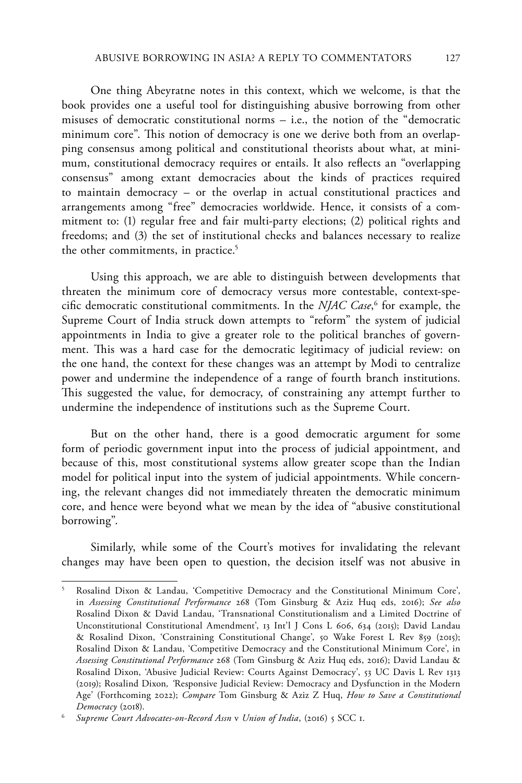One thing Abeyratne notes in this context, which we welcome, is that the book provides one a useful tool for distinguishing abusive borrowing from other misuses of democratic constitutional norms – i.e., the notion of the "democratic minimum core". This notion of democracy is one we derive both from an overlapping consensus among political and constitutional theorists about what, at minimum, constitutional democracy requires or entails. It also reflects an "overlapping consensus" among extant democracies about the kinds of practices required to maintain democracy – or the overlap in actual constitutional practices and arrangements among "free" democracies worldwide. Hence, it consists of a commitment to: (1) regular free and fair multi-party elections; (2) political rights and freedoms; and (3) the set of institutional checks and balances necessary to realize the other commitments, in practice.<sup>5</sup>

Using this approach, we are able to distinguish between developments that threaten the minimum core of democracy versus more contestable, context-specific democratic constitutional commitments. In the *NJAC Case*, 6 for example, the Supreme Court of India struck down attempts to "reform" the system of judicial appointments in India to give a greater role to the political branches of government. This was a hard case for the democratic legitimacy of judicial review: on the one hand, the context for these changes was an attempt by Modi to centralize power and undermine the independence of a range of fourth branch institutions. This suggested the value, for democracy, of constraining any attempt further to undermine the independence of institutions such as the Supreme Court.

But on the other hand, there is a good democratic argument for some form of periodic government input into the process of judicial appointment, and because of this, most constitutional systems allow greater scope than the Indian model for political input into the system of judicial appointments. While concerning, the relevant changes did not immediately threaten the democratic minimum core, and hence were beyond what we mean by the idea of "abusive constitutional borrowing".

Similarly, while some of the Court's motives for invalidating the relevant changes may have been open to question, the decision itself was not abusive in

<sup>5</sup> Rosalind Dixon & Landau, 'Competitive Democracy and the Constitutional Minimum Core', in *Assessing Constitutional Performance* 268 (Tom Ginsburg & Aziz Huq eds, 2016); *See also* Rosalind Dixon & David Landau, 'Transnational Constitutionalism and a Limited Doctrine of Unconstitutional Constitutional Amendment', 13 Int'l J Cons L 606, 634 (2015); David Landau & Rosalind Dixon, 'Constraining Constitutional Change', 50 Wake Forest L Rev 859 (2015); Rosalind Dixon & Landau, 'Competitive Democracy and the Constitutional Minimum Core', in *Assessing Constitutional Performance* 268 (Tom Ginsburg & Aziz Huq eds, 2016); David Landau & Rosalind Dixon, 'Abusive Judicial Review: Courts Against Democracy', 53 UC Davis L Rev 1313 (2019); Rosalind Dixon*, '*Responsive Judicial Review: Democracy and Dysfunction in the Modern Age' (Forthcoming 2022); *Compare* Tom Ginsburg & Aziz Z Huq, *How to Save a Constitutional Democracy* (2018).

<sup>6</sup> *Supreme Court Advocates-on-Record Assn* v *Union of India*, (2016) 5 SCC 1.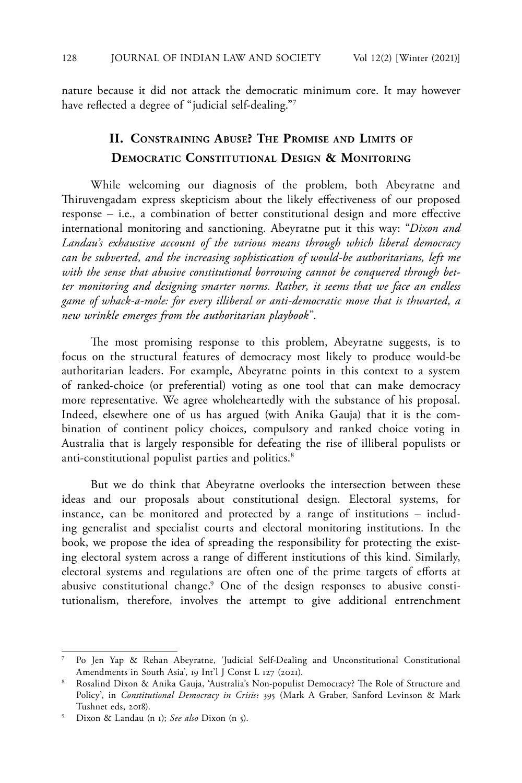nature because it did not attack the democratic minimum core. It may however have reflected a degree of "judicial self-dealing."7

## **II. Constraining Abuse? The Promise and Limits of Democratic Constitutional Design & Monitoring**

While welcoming our diagnosis of the problem, both Abeyratne and Thiruvengadam express skepticism about the likely effectiveness of our proposed response – i.e., a combination of better constitutional design and more effective international monitoring and sanctioning. Abeyratne put it this way: "*Dixon and Landau's exhaustive account of the various means through which liberal democracy can be subverted, and the increasing sophistication of would-be authoritarians, left me with the sense that abusive constitutional borrowing cannot be conquered through better monitoring and designing smarter norms. Rather, it seems that we face an endless game of whack-a-mole: for every illiberal or anti-democratic move that is thwarted, a new wrinkle emerges from the authoritarian playbook*".

The most promising response to this problem, Abeyratne suggests, is to focus on the structural features of democracy most likely to produce would-be authoritarian leaders. For example, Abeyratne points in this context to a system of ranked-choice (or preferential) voting as one tool that can make democracy more representative. We agree wholeheartedly with the substance of his proposal. Indeed, elsewhere one of us has argued (with Anika Gauja) that it is the combination of continent policy choices, compulsory and ranked choice voting in Australia that is largely responsible for defeating the rise of illiberal populists or anti-constitutional populist parties and politics.<sup>8</sup>

But we do think that Abeyratne overlooks the intersection between these ideas and our proposals about constitutional design. Electoral systems, for instance, can be monitored and protected by a range of institutions – including generalist and specialist courts and electoral monitoring institutions. In the book, we propose the idea of spreading the responsibility for protecting the existing electoral system across a range of different institutions of this kind. Similarly, electoral systems and regulations are often one of the prime targets of efforts at abusive constitutional change.9 One of the design responses to abusive constitutionalism, therefore, involves the attempt to give additional entrenchment

<sup>7</sup> Po Jen Yap & Rehan Abeyratne, 'Judicial Self-Dealing and Unconstitutional Constitutional Amendments in South Asia', 19 Int'l J Const L 127 (2021).

<sup>8</sup> Rosalind Dixon & Anika Gauja, 'Australia's Non-populist Democracy? The Role of Structure and Policy', in *Constitutional Democracy in Crisis*? 395 (Mark A Graber, Sanford Levinson & Mark Tushnet eds, 2018).

<sup>9</sup> Dixon & Landau (n 1); *See also* Dixon (n 5).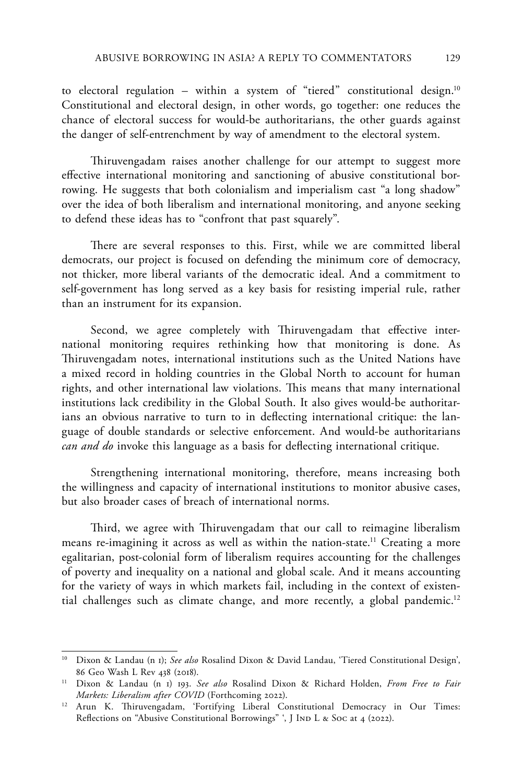to electoral regulation - within a system of "tiered" constitutional design.<sup>10</sup> Constitutional and electoral design, in other words, go together: one reduces the chance of electoral success for would-be authoritarians, the other guards against the danger of self-entrenchment by way of amendment to the electoral system.

Thiruvengadam raises another challenge for our attempt to suggest more effective international monitoring and sanctioning of abusive constitutional borrowing. He suggests that both colonialism and imperialism cast "a long shadow" over the idea of both liberalism and international monitoring, and anyone seeking to defend these ideas has to "confront that past squarely".

There are several responses to this. First, while we are committed liberal democrats, our project is focused on defending the minimum core of democracy, not thicker, more liberal variants of the democratic ideal. And a commitment to self-government has long served as a key basis for resisting imperial rule, rather than an instrument for its expansion.

Second, we agree completely with Thiruvengadam that effective international monitoring requires rethinking how that monitoring is done. As Thiruvengadam notes, international institutions such as the United Nations have a mixed record in holding countries in the Global North to account for human rights, and other international law violations. This means that many international institutions lack credibility in the Global South. It also gives would-be authoritarians an obvious narrative to turn to in deflecting international critique: the language of double standards or selective enforcement. And would-be authoritarians *can and do* invoke this language as a basis for deflecting international critique.

Strengthening international monitoring, therefore, means increasing both the willingness and capacity of international institutions to monitor abusive cases, but also broader cases of breach of international norms.

Third, we agree with Thiruvengadam that our call to reimagine liberalism means re-imagining it across as well as within the nation-state.<sup>11</sup> Creating a more egalitarian, post-colonial form of liberalism requires accounting for the challenges of poverty and inequality on a national and global scale. And it means accounting for the variety of ways in which markets fail, including in the context of existential challenges such as climate change, and more recently, a global pandemic.<sup>12</sup>

<sup>10</sup> Dixon & Landau (n 1); *See also* Rosalind Dixon & David Landau, 'Tiered Constitutional Design', 86 Geo Wash L Rev 438 (2018).

<sup>11</sup> Dixon & Landau (n 1) 193. *See also* Rosalind Dixon & Richard Holden, *From Free to Fair Markets: Liberalism after COVID* (Forthcoming 2022).

<sup>12</sup> Arun K. Thiruvengadam, 'Fortifying Liberal Constitutional Democracy in Our Times: Reflections on "Abusive Constitutional Borrowings" ', J IND L & Soc at 4 (2022).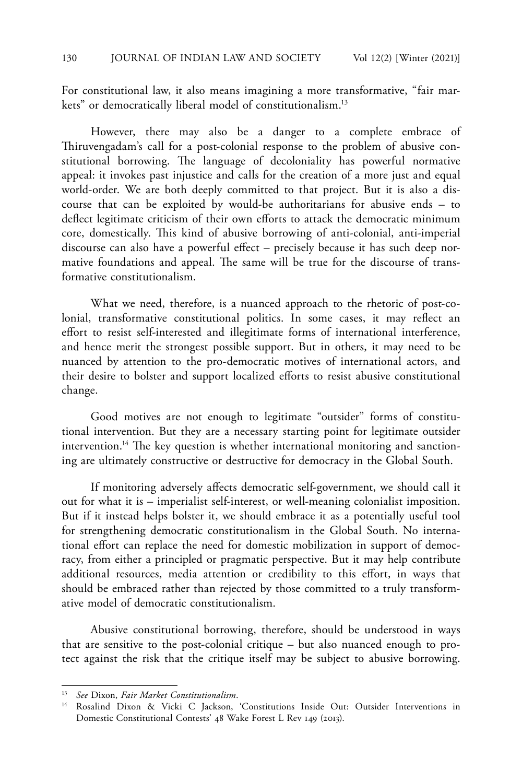For constitutional law, it also means imagining a more transformative, "fair markets" or democratically liberal model of constitutionalism.<sup>13</sup>

However, there may also be a danger to a complete embrace of Thiruvengadam's call for a post-colonial response to the problem of abusive constitutional borrowing. The language of decoloniality has powerful normative appeal: it invokes past injustice and calls for the creation of a more just and equal world-order. We are both deeply committed to that project. But it is also a discourse that can be exploited by would-be authoritarians for abusive ends – to deflect legitimate criticism of their own efforts to attack the democratic minimum core, domestically. This kind of abusive borrowing of anti-colonial, anti-imperial discourse can also have a powerful effect – precisely because it has such deep normative foundations and appeal. The same will be true for the discourse of transformative constitutionalism.

What we need, therefore, is a nuanced approach to the rhetoric of post-colonial, transformative constitutional politics. In some cases, it may reflect an effort to resist self-interested and illegitimate forms of international interference, and hence merit the strongest possible support. But in others, it may need to be nuanced by attention to the pro-democratic motives of international actors, and their desire to bolster and support localized efforts to resist abusive constitutional change.

Good motives are not enough to legitimate "outsider" forms of constitutional intervention. But they are a necessary starting point for legitimate outsider intervention.<sup>14</sup> The key question is whether international monitoring and sanctioning are ultimately constructive or destructive for democracy in the Global South.

If monitoring adversely affects democratic self-government, we should call it out for what it is – imperialist self-interest, or well-meaning colonialist imposition. But if it instead helps bolster it, we should embrace it as a potentially useful tool for strengthening democratic constitutionalism in the Global South. No international effort can replace the need for domestic mobilization in support of democracy, from either a principled or pragmatic perspective. But it may help contribute additional resources, media attention or credibility to this effort, in ways that should be embraced rather than rejected by those committed to a truly transformative model of democratic constitutionalism.

Abusive constitutional borrowing, therefore, should be understood in ways that are sensitive to the post-colonial critique – but also nuanced enough to protect against the risk that the critique itself may be subject to abusive borrowing.

<sup>13</sup> *See* Dixon, *Fair Market Constitutionalism*.

<sup>&</sup>lt;sup>14</sup> Rosalind Dixon & Vicki C Jackson, 'Constitutions Inside Out: Outsider Interventions in Domestic Constitutional Contests' 48 Wake Forest L Rev 149 (2013).